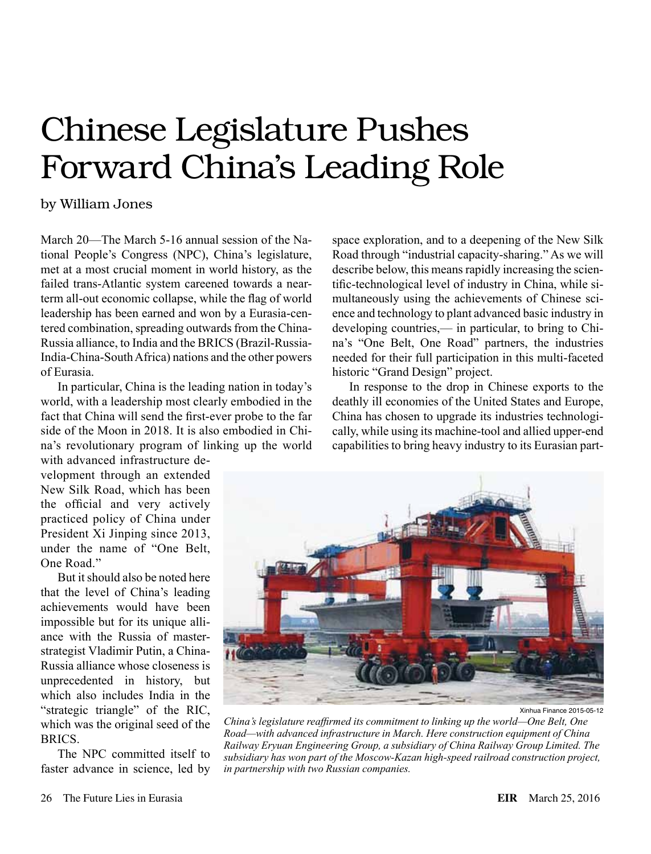# Chinese Legislature Pushes Forward China's Leading Role

## by William Jones

March 20—The March 5-16 annual session of the National People's Congress (NPC), China's legislature, met at a most crucial moment in world history, as the failed trans-Atlantic system careened towards a nearterm all-out economic collapse, while the flag of world leadership has been earned and won by a Eurasia-centered combination, spreading outwards from the China-Russia alliance, to India and the BRICS (Brazil-Russia-India-China-South Africa) nations and the other powers of Eurasia.

In particular, China is the leading nation in today's world, with a leadership most clearly embodied in the fact that China will send the first-ever probe to the far side of the Moon in 2018. It is also embodied in China's revolutionary program of linking up the world

with advanced infrastructure development through an extended New Silk Road, which has been the official and very actively practiced policy of China under President Xi Jinping since 2013, under the name of "One Belt, One Road."

But it should also be noted here that the level of China's leading achievements would have been impossible but for its unique alliance with the Russia of masterstrategist Vladimir Putin, a China-Russia alliance whose closeness is unprecedented in history, but which also includes India in the "strategic triangle" of the RIC, which was the original seed of the **BRICS** 

The NPC committed itself to faster advance in science, led by space exploration, and to a deepening of the New Silk Road through "industrial capacity-sharing." As we will describe below, this means rapidly increasing the scientific-technological level of industry in China, while simultaneously using the achievements of Chinese science and technology to plant advanced basic industry in developing countries,— in particular, to bring to China's "One Belt, One Road" partners, the industries needed for their full participation in this multi-faceted historic "Grand Design" project.

In response to the drop in Chinese exports to the deathly ill economies of the United States and Europe, China has chosen to upgrade its industries technologically, while using its machine-tool and allied upper-end capabilities to bring heavy industry to its Eurasian part-



Xinhua Finance 2015-05-12

*China's legislature reaffirmed its commitment to linking up the world—One Belt, One Road—with advanced infrastructure in March. Here construction equipment of China Railway Eryuan Engineering Group, a subsidiary of China Railway Group Limited. The subsidiary has won part of the Moscow-Kazan high-speed railroad construction project, in partnership with two Russian companies.*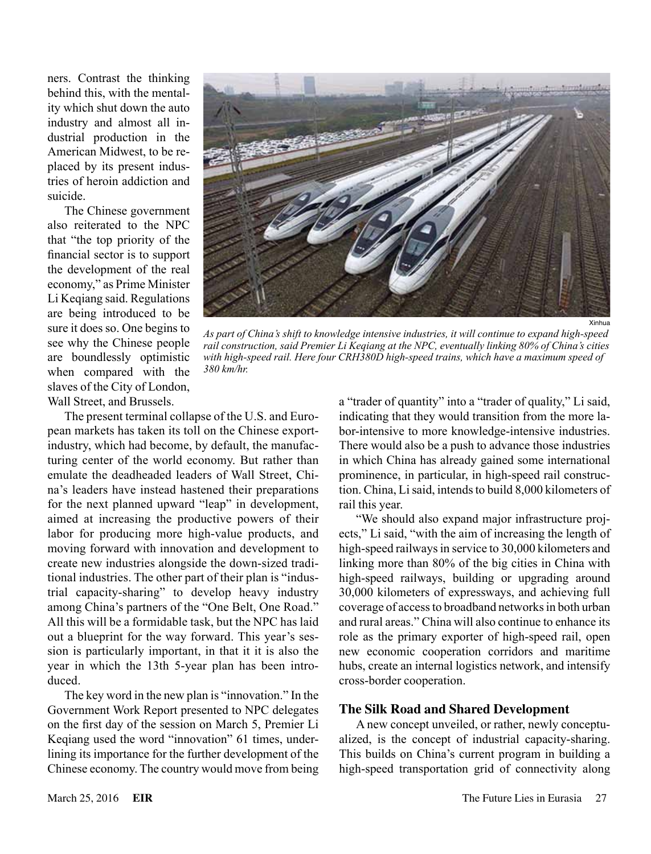ners. Contrast the thinking behind this, with the mentality which shut down the auto industry and almost all industrial production in the American Midwest, to be replaced by its present industries of heroin addiction and suicide.

The Chinese government also reiterated to the NPC that "the top priority of the financial sector is to support the development of the real economy," as Prime Minister Li Keqiang said. Regulations are being introduced to be sure it does so. One begins to see why the Chinese people are boundlessly optimistic when compared with the slaves of the City of London, Wall Street, and Brussels.



*As part of China's shift to knowledge intensive industries, it will continue to expand high-speed rail construction, said Premier Li Keqiang at the NPC, eventually linking 80% of China's cities with high-speed rail. Here four CRH380D high-speed trains, which have a maximum speed of 380 km/hr.*

The present terminal collapse of the U.S. and European markets has taken its toll on the Chinese exportindustry, which had become, by default, the manufacturing center of the world economy. But rather than emulate the deadheaded leaders of Wall Street, China's leaders have instead hastened their preparations for the next planned upward "leap" in development, aimed at increasing the productive powers of their labor for producing more high-value products, and moving forward with innovation and development to create new industries alongside the down-sized traditional industries. The other part of their plan is "industrial capacity-sharing" to develop heavy industry among China's partners of the "One Belt, One Road." All this will be a formidable task, but the NPC has laid out a blueprint for the way forward. This year's session is particularly important, in that it it is also the year in which the 13th 5-year plan has been introduced.

The key word in the new plan is "innovation." In the Government Work Report presented to NPC delegates on the first day of the session on March 5, Premier Li Keqiang used the word "innovation" 61 times, underlining its importance for the further development of the Chinese economy. The country would move from being a "trader of quantity" into a "trader of quality," Li said, indicating that they would transition from the more labor-intensive to more knowledge-intensive industries. There would also be a push to advance those industries in which China has already gained some international prominence, in particular, in high-speed rail construction. China, Li said, intends to build 8,000 kilometers of rail this year.

"We should also expand major infrastructure projects," Li said, "with the aim of increasing the length of high-speed railways in service to 30,000 kilometers and linking more than 80% of the big cities in China with high-speed railways, building or upgrading around 30,000 kilometers of expressways, and achieving full coverage of access to broadband networks in both urban and rural areas." China will also continue to enhance its role as the primary exporter of high-speed rail, open new economic cooperation corridors and maritime hubs, create an internal logistics network, and intensify cross-border cooperation.

#### **The Silk Road and Shared Development**

A new concept unveiled, or rather, newly conceptualized, is the concept of industrial capacity-sharing. This builds on China's current program in building a high-speed transportation grid of connectivity along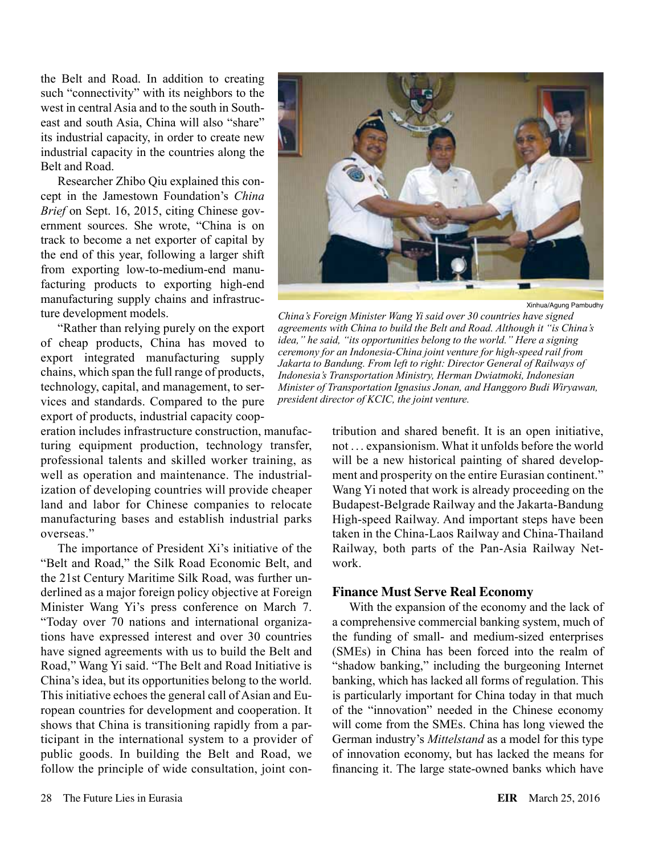the Belt and Road. In addition to creating such "connectivity" with its neighbors to the west in central Asia and to the south in Southeast and south Asia, China will also "share" its industrial capacity, in order to create new industrial capacity in the countries along the Belt and Road.

Researcher Zhibo Qiu explained this concept in the Jamestown Foundation's *China Brief* on Sept. 16, 2015, citing Chinese government sources. She wrote, "China is on track to become a net exporter of capital by the end of this year, following a larger shift from exporting low-to-medium-end manufacturing products to exporting high-end manufacturing supply chains and infrastructure development models.

"Rather than relying purely on the export of cheap products, China has moved to export integrated manufacturing supply chains, which span the full range of products, technology, capital, and management, to services and standards. Compared to the pure export of products, industrial capacity coop-

eration includes infrastructure construction, manufacturing equipment production, technology transfer, professional talents and skilled worker training, as well as operation and maintenance. The industrialization of developing countries will provide cheaper land and labor for Chinese companies to relocate manufacturing bases and establish industrial parks overseas."

The importance of President Xi's initiative of the "Belt and Road," the Silk Road Economic Belt, and the 21st Century Maritime Silk Road, was further underlined as a major foreign policy objective at Foreign Minister Wang Yi's press conference on March 7. "Today over 70 nations and international organizations have expressed interest and over 30 countries have signed agreements with us to build the Belt and Road," Wang Yi said. "The Belt and Road Initiative is China's idea, but its opportunities belong to the world. This initiative echoes the general call of Asian and European countries for development and cooperation. It shows that China is transitioning rapidly from a participant in the international system to a provider of public goods. In building the Belt and Road, we follow the principle of wide consultation, joint con-



Xinhua/Agung Pambudhy

*China's Foreign Minister Wang Yi said over 30 countries have signed agreements with China to build the Belt and Road. Although it "is China's idea," he said, "its opportunities belong to the world." Here a signing ceremony for an Indonesia-China joint venture for high-speed rail from Jakarta to Bandung. From left to right: Director General of Railways of Indonesia's Transportation Ministry, Herman Dwiatmoki, Indonesian Minister of Transportation Ignasius Jonan, and Hanggoro Budi Wiryawan, president director of KCIC, the joint venture.*

tribution and shared benefit. It is an open initiative, not . . . expansionism. What it unfolds before the world will be a new historical painting of shared development and prosperity on the entire Eurasian continent." Wang Yi noted that work is already proceeding on the Budapest-Belgrade Railway and the Jakarta-Bandung High-speed Railway. And important steps have been taken in the China-Laos Railway and China-Thailand Railway, both parts of the Pan-Asia Railway Network.

#### **Finance Must Serve Real Economy**

With the expansion of the economy and the lack of a comprehensive commercial banking system, much of the funding of small- and medium-sized enterprises (SMEs) in China has been forced into the realm of "shadow banking," including the burgeoning Internet banking, which has lacked all forms of regulation. This is particularly important for China today in that much of the "innovation" needed in the Chinese economy will come from the SMEs. China has long viewed the German industry's *Mittelstand* as a model for this type of innovation economy, but has lacked the means for financing it. The large state-owned banks which have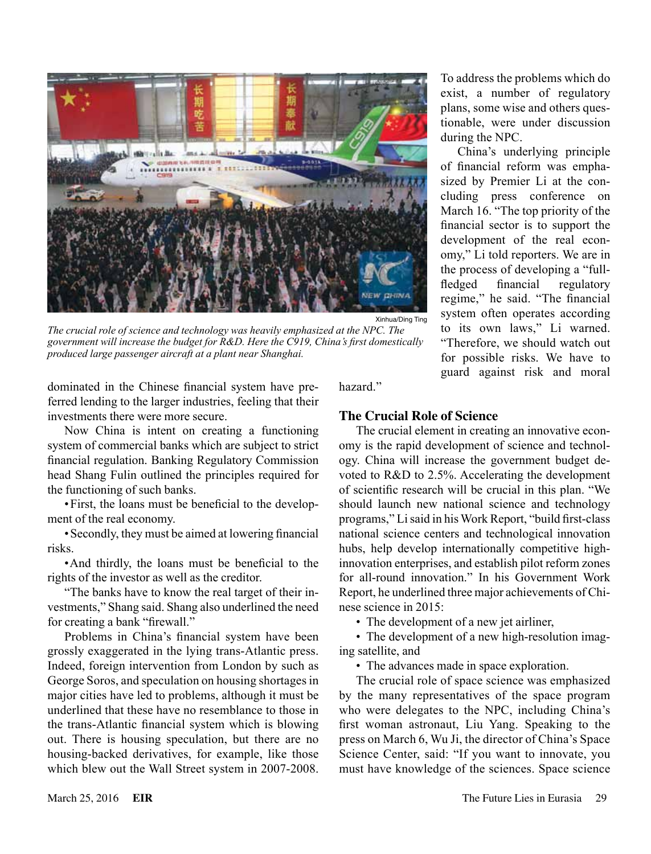

*The crucial role of science and technology was heavily emphasized at the NPC. The government will increase the budget for R&D. Here the C919, China's first domestically produced large passenger aircraft at a plant near Shanghai.*

dominated in the Chinese financial system have preferred lending to the larger industries, feeling that their investments there were more secure.

Now China is intent on creating a functioning system of commercial banks which are subject to strict financial regulation. Banking Regulatory Commission head Shang Fulin outlined the principles required for the functioning of such banks.

•First, the loans must be beneficial to the development of the real economy.

•Secondly, they must be aimed at lowering financial risks.

•And thirdly, the loans must be beneficial to the rights of the investor as well as the creditor.

"The banks have to know the real target of their investments," Shang said. Shang also underlined the need for creating a bank "firewall."

Problems in China's financial system have been grossly exaggerated in the lying trans-Atlantic press. Indeed, foreign intervention from London by such as George Soros, and speculation on housing shortages in major cities have led to problems, although it must be underlined that these have no resemblance to those in the trans-Atlantic financial system which is blowing out. There is housing speculation, but there are no housing-backed derivatives, for example, like those which blew out the Wall Street system in 2007-2008. hazard."

## **The Crucial Role of Science**

The crucial element in creating an innovative economy is the rapid development of science and technology. China will increase the government budget devoted to R&D to 2.5%. Accelerating the development of scientific research will be crucial in this plan. "We should launch new national science and technology programs," Li said in his Work Report, "build first-class national science centers and technological innovation hubs, help develop internationally competitive highinnovation enterprises, and establish pilot reform zones for all-round innovation." In his Government Work Report, he underlined three major achievements of Chinese science in 2015:

To address the problems which do exist, a number of regulatory plans, some wise and others questionable, were under discussion

China's underlying principle of financial reform was emphasized by Premier Li at the concluding press conference on March 16. "The top priority of the financial sector is to support the development of the real economy," Li told reporters. We are in the process of developing a "fullfledged financial regulatory regime," he said. "The financial system often operates according to its own laws," Li warned. "Therefore, we should watch out for possible risks. We have to guard against risk and moral

during the NPC.

• The development of a new jet airliner,

• The development of a new high-resolution imaging satellite, and

• The advances made in space exploration.

The crucial role of space science was emphasized by the many representatives of the space program who were delegates to the NPC, including China's first woman astronaut, Liu Yang. Speaking to the press on March 6, Wu Ji, the director of China's Space Science Center, said: "If you want to innovate, you must have knowledge of the sciences. Space science